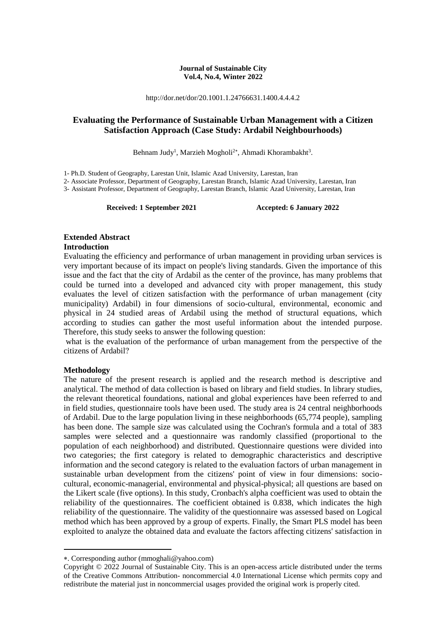#### **Journal of Sustainable City Vol.4, No.4, Winter 2022**

http://dor.net/dor/20.1001.1.24766631.1400.4.4.4.2

# **Evaluating the Performance of Sustainable Urban Management with a Citizen Satisfaction Approach (Case Study: Ardabil Neighbourhoods)**

Behnam Judy<sup>1</sup>, Marzieh Mogholi<sup>2\*</sup>, Ahmadi Khorambakht<sup>3</sup>.

1- Ph.D. Student of Geography, Larestan Unit, Islamic Azad University, Larestan, Iran

2- Associate Professor, Department of Geography, Larestan Branch, Islamic Azad University, Larestan, Iran

3- Assistant Professor, Department of Geography, Larestan Branch, Islamic Azad University, Larestan, Iran

**Received: 1 September 2021 Accepted: 6 January 2022**

# **Extended Abstract**

#### **Introduction**

Evaluating the efficiency and performance of urban management in providing urban services is very important because of its impact on people's living standards. Given the importance of this issue and the fact that the city of Ardabil as the center of the province, has many problems that could be turned into a developed and advanced city with proper management, this study evaluates the level of citizen satisfaction with the performance of urban management (city municipality) Ardabil) in four dimensions of socio-cultural, environmental, economic and physical in 24 studied areas of Ardabil using the method of structural equations, which according to studies can gather the most useful information about the intended purpose. Therefore, this study seeks to answer the following question:

what is the evaluation of the performance of urban management from the perspective of the citizens of Ardabil?

#### **Methodology**

**.** 

The nature of the present research is applied and the research method is descriptive and analytical. The method of data collection is based on library and field studies. In library studies, the relevant theoretical foundations, national and global experiences have been referred to and in field studies, questionnaire tools have been used. The study area is 24 central neighborhoods of Ardabil. Due to the large population living in these neighborhoods (65,774 people), sampling has been done. The sample size was calculated using the Cochran's formula and a total of 383 samples were selected and a questionnaire was randomly classified (proportional to the population of each neighborhood) and distributed. Questionnaire questions were divided into two categories; the first category is related to demographic characteristics and descriptive information and the second category is related to the evaluation factors of urban management in sustainable urban development from the citizens' point of view in four dimensions: sociocultural, economic-managerial, environmental and physical-physical; all questions are based on the Likert scale (five options). In this study, Cronbach's alpha coefficient was used to obtain the reliability of the questionnaires. The coefficient obtained is 0.838, which indicates the high reliability of the questionnaire. The validity of the questionnaire was assessed based on Logical method which has been approved by a group of experts. Finally, the Smart PLS model has been exploited to analyze the obtained data and evaluate the factors affecting citizens' satisfaction in

<sup>.</sup> Corresponding author (mmoghali@yahoo.com)

Copyright © 2022 Journal of Sustainable City. This is an open-access article distributed under the terms of the Creative Commons Attribution- noncommercial 4.0 International License which permits copy and redistribute the material just in noncommercial usages provided the original work is properly cited.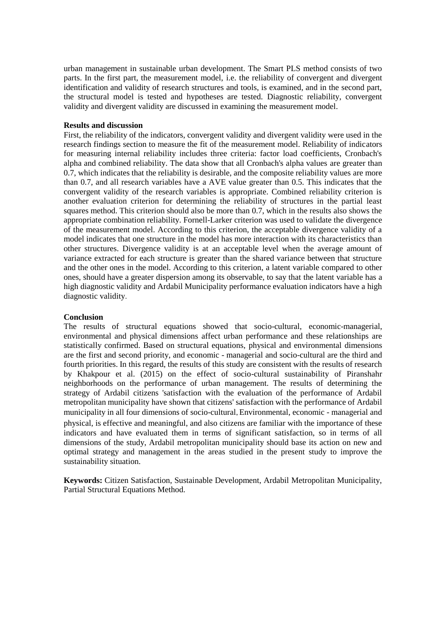urban management in sustainable urban development. The Smart PLS method consists of two parts. In the first part, the measurement model, i.e. the reliability of convergent and divergent identification and validity of research structures and tools, is examined, and in the second part, the structural model is tested and hypotheses are tested. Diagnostic reliability, convergent validity and divergent validity are discussed in examining the measurement model.

#### **Results and discussion**

First, the reliability of the indicators, convergent validity and divergent validity were used in the research findings section to measure the fit of the measurement model. Reliability of indicators for measuring internal reliability includes three criteria: factor load coefficients, Cronbach's alpha and combined reliability. The data show that all Cronbach's alpha values are greater than 0.7, which indicates that the reliability is desirable, and the composite reliability values are more than 0.7, and all research variables have a AVE value greater than 0.5. This indicates that the convergent validity of the research variables is appropriate. Combined reliability criterion is another evaluation criterion for determining the reliability of structures in the partial least squares method. This criterion should also be more than 0.7, which in the results also shows the appropriate combination reliability. Fornell-Larker criterion was used to validate the divergence of the measurement model. According to this criterion, the acceptable divergence validity of a model indicates that one structure in the model has more interaction with its characteristics than other structures. Divergence validity is at an acceptable level when the average amount of variance extracted for each structure is greater than the shared variance between that structure and the other ones in the model. According to this criterion, a latent variable compared to other ones, should have a greater dispersion among its observable, to say that the latent variable has a high diagnostic validity and Ardabil Municipality performance evaluation indicators have a high diagnostic validity.

#### **Conclusion**

The results of structural equations showed that socio-cultural, economic-managerial, environmental and physical dimensions affect urban performance and these relationships are statistically confirmed. Based on structural equations, physical and environmental dimensions are the first and second priority, and economic - managerial and socio-cultural are the third and fourth priorities. In this regard, the results of this study are consistent with the results of research by Khakpour et al. (2015) on the effect of socio-cultural sustainability of Piranshahr neighborhoods on the performance of urban management. The results of determining the strategy of Ardabil citizens 'satisfaction with the evaluation of the performance of Ardabil metropolitan municipality have shown that citizens' satisfaction with the performance of Ardabil municipality in all four dimensions of socio-cultural. Environmental, economic - managerial and physical, is effective and meaningful, and also citizens are familiar with the importance of these indicators and have evaluated them in terms of significant satisfaction, so in terms of all dimensions of the study, Ardabil metropolitan municipality should base its action on new and optimal strategy and management in the areas studied in the present study to improve the sustainability situation.

**Keywords:** Citizen Satisfaction, Sustainable Development, Ardabil Metropolitan Municipality, Partial Structural Equations Method.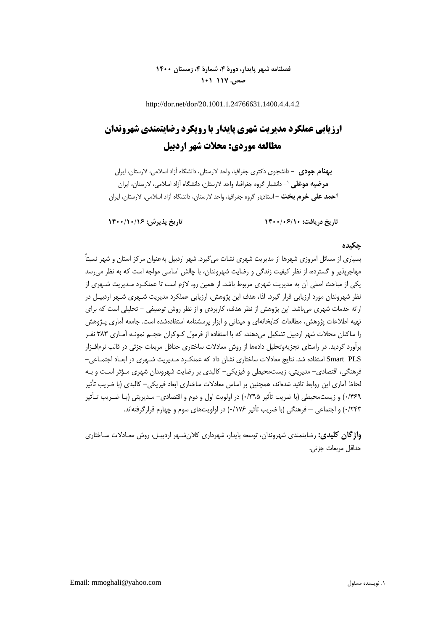# **فصلنامه شهر پایدار، دورۀ ،4 شمارۀ ،4 زمستان 1400 صص. 101-117**

http://dor.net/dor/20.1001.1.24766631.1400.4.4.4.2

# **ارزیابی عملکرد مدیریت شهری پایدار با رویکرد رضایتمندی شهروندان مطالعه موردی: محالت شهر اردبیل**

**بهنام جودی** - دانشجوی دکتری جغرافیا، واحد الرستان، دانشگاه آزاد اسالمی، الرستان، ایران - دانشیار گروه جغرافیا، واحد الرستان، دانشگاه آزاد اسالمی، الرستان، ایران <sup>0</sup> **مرضیه موغلی احمد علی خرم بخت** - استادیار گروه جغرافیا، واحد الرستان، دانشگاه آزاد اسالمی، الرستان، ایران

**تاریخ دریافت: 1400/06/10 تاریخ پذیرش: 1400/10/16**

### **چکیده**

بسیاری از مسائل امروزی شهرها از مدیریت شهری نشات میگیرد. شهر اردبیل بهعنوان مرکز استان و شهر نسبتاً مهاجرپذیر و گسترده، از نظر کیفیت زندگی و رضایت شهروندان، با چالش اساسی مواجه است که به نظر میرسد یکی از مباحث اصلی آن به مدیریت شهری مربوط باشد. از همین رو، لازم است تا عملکـرد مـدیریت شـهری از نظر شهروندان مورد ارزیابی قرار گیرد. لذا، هدف این پژوهش، ارزیابی عملکرد مدیریت شـهری شـهر اردبیـل در ارائه خدمات شهری میباشد. این پژوهش از نظر هدف، کاربردی و از نظر روش توصیفی - تحلیلی است که برای تهیه اطالعات پژوهش، مطالعات کتابخانهای و میدانی و ابزار پرسشنامه استفادهشده است. جامعه آماری پـژوهش را ساکنان محالت شهر اردبیل تشکیل میدهند، که با استفاده از فرمول کـوکران حجـم نمونـه آمـاری 313 نفـر برآورد گردید. در راستای تجزیهوتحلیل دادهها از روش معادالت ساختاری حداقل مربعات جزئی در قالب نرمافـزار PLS Smart استفاده شد. نتایج معادالت ساختاری نشان داد که عملکـرد مـدیریت شـهری در ابعـاد اجتمـاعی- فرهنگی، اقتصادی- مدیریتی، زیستمحیطی و فیزیکی- کالبدی بر رضایت شهروندان شهری مـؤثر اسـت و بـه لحاظ آماری این روابط تائید شدهاند، همچنین بر اساس معادلات ساختاری ابعاد فیزیکی– کالبدی (با ضریب تأثیر 1/113( و زیستمحیطی )با ضریب تأثیر 1/332( در اولویت اول و دوم و اقتصادی- مـدیریتی )بـا ضـریب تـأثیر 1/513( و اجتماعی – فرهنگی )با ضریب تأثیر 1/071( در اولویتهای سوم و چهارم قرارگرفتهاند.

**واژگان کلیدی:** رضایتمندی شهروندان، توسعه پایدار، شهرداری کالنشـهر اردبیـل، روش معـادالت سـاختاری حداقل مربعات جزئی.

Email: mmoghali@yahoo.com مسئول نویسنده .0

**.**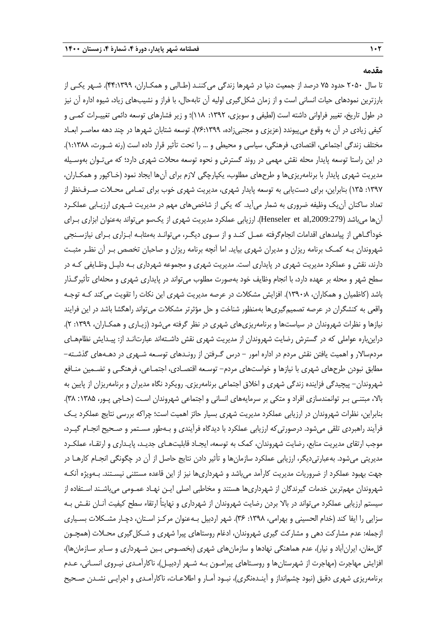**مقدمه**

تا سال 5121 حدود 72 درصد از جمعیت دنیا در شهرها زندگی میکننـد )طـالبی و همکـاران، 11:0333(. شـهر یکـی از بارزترین نمودهای حیات انسانی است و از زمان شکلگیری اولیه آن تابهحال، با فراز و نشیبهای زیاد، شیوه اداره آن نیز در طول تاریخ، تغییر فراوانی داشته است (لطیفی و سویزی، ١٣٩٢: ١١٨)؛ و زیر فشارهای توسعه دائمی تغییـرات کمـی و کیفی زیادی در آن به وقوع میپیوندد (عزیزی و مجتبیزاده، ۲۹۹:۱۳۹۹). توسعه شتابان شهرها در چند دهه معاصـر ابعـاد مختلف زندگی اجتماعی، اقتصادی، فرهنگی، سیاسی و محیطی و ... را تحت تأثیر قرار داده است )رنه شـورت، 0:0311(. در این راستا توسعه پایدار محله نقش مهمی در روند گسترش و نحوه توسعه محالت شهری دارد؛ که میتـوان بهوسـیله مدیریت شهری پایدار با برنامهریزیها و طرحهای مطلوب، یکپارچگی الزم برای آنها ایجاد نمود )خـاکپور و همکـاران، :0337 032( بنابراین، برای دستیابی به توسعه پایدار شهری، مدیریت شهری خوب برای تمـامی محـالت صـرفنظر از تعداد ساکنان آنیک وظیفه ضروری به شمار میآید. که یکی از شاخصهای مهم در مدیریت شـهری ارزیـابی عملکـرد آنها میباشد (Henseler et al,2009:279). ارزیابی عملکرد مدیریت شهری از یکسو میتواند بهعنوان ابزاری بـرای خودآگـاهی از پیامدهای اقدامات انجامگرفته عمـل کنـد و از سـوی دیگـر، میتوانـد بهمثابـه ابـزاری بـرای نیازسـنجی شهروندان بـه کمـک برنامه ریزان و مدیران شهری بیاید. اما آنچه برنامه ریزان و صاحبان تخصص بـر آن نظـر مثبـت دارند، نقش و عملکرد مدیریت شهری در پایداری است. مدیریت شهری و مجموعه شهرداری بـه دلیـل وظـایفی کـه در سطح شهر و محله بر عهده دارد، با انجام وظایف خود بهصورت مطلوب میتواند در پایداری شهری و محلهای تأثیرگـذار باشد )کاظمیان و همکاران، 0331:1(. افزایش مشکالت در عرصه مدیریت شهری این نکات را تقویت میکند کـه توجـه واقعی به کنشگران در عرصه تصمیمگیریها بهمنظور شناخت و حل مؤثرتر مشکالت میتواند راهگشا باشد در این فرایند نیازها و نظرات شهروندان در سیاستها و برنامهریزیهای شهری در نظر گرفته میشود (زیـاری و همکـاران، ۱۳۹۹: ۲). دراینباره عواملی که در گسترش رضایت شهروندان از مدیریت شهری نقش داشـتهاند عبارتانـد از: پیـدایش نظامهـای مردمساالر و اهمیت یافتن نقش مردم در اداره امور - درس گـرفتن از رونـدهای توسـعه شـهری در دهـههای گذشـته- مطابق نبودن طرحهای شهری با نیازها و خواستهای مردم- توسـعه اقتصـادی، اجتمـاعی، فرهنگـی و تضـمین منـافع شهروندان– پیچیدگی فزاینده زندگی شهری و اخلاق اجتماعی برنامهریزی. رویکرد نگاه مدیران و برنامهریزان از پایین به بالا، مبتنـی بـر توانمندسازی افراد و متکی بر سرمایههای انسانی و اجتماعی شهروندان اسـت (حـاجی پـور، ۱۳۸۵: ۳۸). بنابراین، نظرات شهروندان در ارزیابی عملکرد مدیریت شهری بسیار حائز اهمیت است؛ چراکه بررسی نتایج عملکرد یـک فرآیند راهبردی تلقی میشود. درصورتیکه ارزیابی عملکرد با دیدگاه فرآیندی و بـهطور مسـتمر و صـحیح انجـام گیـرد، موجب ارتقای مدیریت منابع، رضایت شهروندان، کمک به توسعه، ایجـاد قابلیتهـای جدیـد، پایـداری و ارتقـاء عملکـرد مدیریتی میشود. بهعبارتیدیگر، ارزیابی عملکرد سازمانها و تأثیر دادن نتایج حاصل از آن در چگونگی انجـام کارهـا در جهت بهبود عملکرد از ضروریات مدیریت کارآمد میباشد و شهرداریها نیز از این قاعده مستثنی نیسـتند. بـهویژه آنکـه شهروندان مهمترین خدمات گیرندگان از شهرداریها هستند و مخاطبی اصلی ایـن نهـاد عمـومی میباشـند اسـتفاده از سیستم ارزیابی عملکرد میتواند در باال بردن رضایت شهروندان از شهرداری و نهایتاً ارتقاء سطح کیفیت آنـان نقـش بـه سزایی را ایفا کند (خدام الحسینی و بهرامی، ۱۳۹۸: ۳۶). شهر اردبیل بـهعنوان مرکـز اسـتان، دچـار مشـکلات بسـیاری ازجمله: عدم مشارکت دهی و مشارکت گیری شهروندان، ادغام روستاهای پیرا شهری و شـکل5یری محـلات (همچـون گلمغان، ایرانآباد و نیار)، عدم هماهنگی نهادها و سازمانهای شهری (بخصـوص بـین شـهرداری و سـایر سـازمانها)، افزایش مهاجرت )مهاجرت از شهرستانها و روسـتاهای پیرامـون بـه شـهر اردبیـل(، ناکارآمـدی نیـروی انسـانی، عـدم برنامهریزی شهری دقیق )نبود چشمانداز و آینـدهنگری(، نبـود آمـار و اطالعـات، ناکارآمـدی و اجرایـی نشـدن صـحیح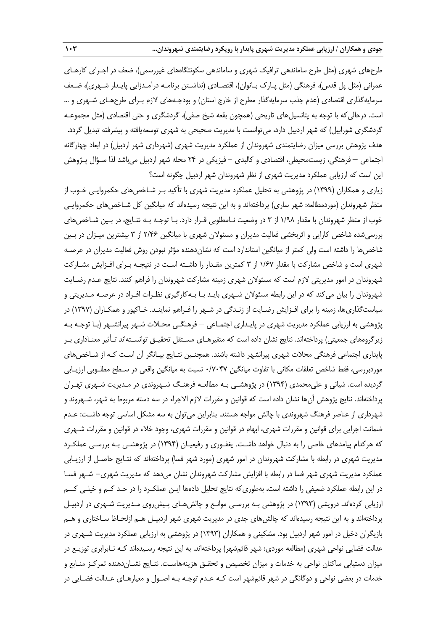طرحهای شهری (مثل طرح ساماندهی ترافیک شهری و ساماندهی سکونتگاههای غیررسمی)، ضعف در اجـرای کارهـای عمرانی (مثل پل قدس)، فرهنگی (مثل پـارک بـانوان)، اقتصـادی (نداشـتن برنامـه درآمـدزایی پایـدار شـهری)، ضـعف سرمایهگذاری اقتصادی (عدم جذب سرمایهگذار مطرح از خارج استان) و بودجـههای لازم بـرای طرحهـای شـهری و … است. درحالی که با توجه به پتانسیلهای تاریخی (همچون بقعه شیخ صفی)، گردشگری و حتی اقتصادی (مثل مجموعـه گردشگری شورابیل) که شهر اردبیل دارد، میتوانست با مدیریت صحیحی به شهری توسعهیافته و پیشرفته تبدیل گردد. هدف پژوهش بررسی میزان رضایتمندی شهروندان از عملکرد مدیریت شهری (شهرداری شهر اردبیل) در ابعاد چهارگانه اجتماعی – فرهنگی، زیستمحیطی، اقتصادی و کالبدی - فیزیکی در 51 محله شهر اردبیل میباشد لذا سـؤال پـژوهش این است که ارزیابی عملکرد مدیریت شهری از نظر شهروندان شهر اردبیل چگونه است؟

زیاری و همکاران )0333( در پژوهشی به تحلیل عملکرد مدیریت شهری با تأکید بـر شـاخصهای حکمروایـی خـوب از منظر شهروندان (موردمطالعه: شهر ساری) پرداختهاند و به این نتیجه رسیدهاند که میانگین کل شـاخصهای حکمروایـی خوب از منظر شهروندان با مقدار 0/31 از 3 در وضعیت نـامطلوبی قـرار دارد. بـا توجـه بـه نتـایج، در بـین شـاخصهای بررسیشده شاخص کارایی و اثربخشی فعالیت مدیران و مسئوالن شهری با میانگین 5/11 از 3 بیشترین میـزان در بـین شاخصها را داشته است ولی کمتر از میانگین استاندارد است که نشاندهنده مؤثر نبودن روش فعالیت مدیران در عرصـه شهری است و شاخص مشارکت با مقدار 0/17 از 3 کمترین مقـدار را داشـته اسـت در نتیجـه بـرای افـزایش مشـارکت شهروندان در امور مدیریتی الزم است که مسئوالن شهری زمینه مشارکت شهروندان را فراهم کنند. نتایج عـدم رضـایت شهروندان را بیان میکند که در این رابطه مسئوالن شـهری بایـد بـا بـهکارگیری نظـرات افـراد در عرصـه مـدیریتی و سیاستگذاریها، زمینه را برای افـزایش رضـایت از زنـدگی در شـهر را فـراهم نماینـد. خـاکپور و همکـاران )0337( در پژوهشی به ارزیابی عملکرد مدیریت شهری در پایـداری اجتمـاعی – فرهنگـی محـالت شـهر پیرانشـهر )بـا توجـه بـه زیر گروههای جمعیتی) پرداختهاند. نتایج نشان داده است که متغیرهـای مسـتقل تحقیـق توانسـتهاند تـأثیر معنـاداری بـر پایداری اجتماعی فرهنگی محالت شهری پیرانشهر داشته باشند. هم نـین نتـایج بیـانگر آن اسـت کـه از شـاخصهای موردبررسی، فقط شاخص تعلقات مکانی با تفاوت میانگین ۰/۷۰۴۷ نسبت به میانگین واقعی در سـطح مطلـوبی ارزیـابی گردیده است. شیانی و علی محمدی (۱۳۹۴) در پژوهشـی بـه مطالعـه فرهنـگ شـهروندی در مـدیریت شـهری تهـران پرداختهاند. نتایج پژوهش آنها نشان داده است که قوانین و مقررات الزم االجراء در سه دسته مربوط به شهر، شـهروند و شهرداری از عناصر فرهنگ شهروندی با چالش مواجه هستند. بنابراین میتوان به سه مشکل اساسی توجه داشـت: عـدم ضمانت اجرایی برای قوانین و مقررات شهری، ابهام در قوانین و مقررات شهری، وجود خالء در قوانین و مقررات شـهری که هرکدام پیامدهای خاصی را به دنبال خواهد داشـت. یغفـوری و رفیعیـان )0331( در پژوهشـی بـه بررسـی عملکـرد مدیریت شهری در رابطه با مشارکت شهروندان در امور شهری (مورد شهر فسا) پرداختهاند که نتـایج حاصـل از ارزیـابی عملکرد مدیریت شهری شهر فسا در رابطه با افزایش مشارکت شهروندان نشان میدهد که مدیریت شهری- شـهر فسـا در این رابطه عملکرد ضعیفی را داشته است، بهطوریکه نتایج تحلیل دادهها ایـن عملکـرد را در حـد کـم و خیلـی کــم ارزیابی کردهاند. درویشی )0333( در پژوهشی بـه بررسـی موانـع و چالشهـای پـیشروی مـدیریت شـهری در اردبیـل پرداختهاند و به این نتیجه رسیدهاند که چالشهای جدی در مدیریت شهری شهر اردبیـل هـم ازلحـاظ سـاختاری و هـم بازیگران دخیل در امور شهر اردبیل بود. مشکینی و همکاران )0333( در پژوهشی به ارزیابی عملکرد مدیریت شـهری در عدالت فضایی نواحی شهری (مطالعه موردی: شهر قائمشهر) پرداختهاند. به این نتیجه رسـیدهاند کـه نــابرابری توزیـع در میزان دستیابی ساکنان نواحی به خدمات و میزان تخصیص و تحقـق هزینههاسـت. نتـایج نشـاندهنده تمرکـز منـابع و خدمات در بعضی نواحی و دوگانگی در شهر قائمشهر است کـه عـدم توجـه بـه اصـول و معیارهـای عـدالت فضـایی در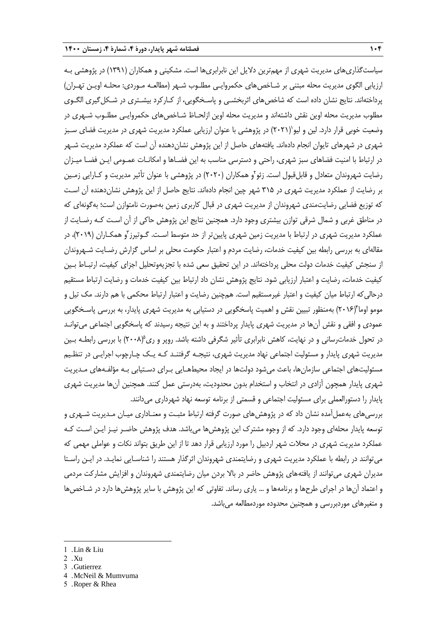سیاستگذاریهای مدیریت شهری از مهمترین دالیل این نابرابریها است. مشکینی و همکاران )0330( در پژوهشی بـه ارزیابی الگوی مدیریت محله مبتنی بر شـاخص۵عای حکمروایـی مطلـوب شـهر (مطالعـه مـوردی: محلـه اویـن تهـران) پرداختهاند. نتایج نشان داده است که شاخصهای اثربخشـی و پاسـخگویی، از کـارکرد بیشـتری در شـکلگیری الگـوی مطلوب مدیریت محله اوین نقش داشتهاند و مدیریت محله اوین ازلحـاظ شـاخصهای حکمروایـی مطلـوب شـهری در وضعیت خوبی قرار دارد. لین و لیو`(۲۰۲۱) در پژوهشی با عنوان ارزیابی عملکرد مدیریت شهری در مدیریت فضای سـبز شهری در شهرهای تایوان انجام دادهاند. یافتههای حاصل از این پژوهش نشاندهنده آن است که عملکرد مدیریت شـهر در ارتباط با امنیت فضاهای سبز شهری، راحتی و دسترسی مناسب به این فضـاها و امکانـات عمـومی ایـن فضـا میـزان رضایت شهروندان متعادل و قابلقبول است. زئو ٌو همکاران (۲۰۲۰) در پژوهشی با عنوان تأثیر مدیریت و کـارایی زمـین بر رضایت از عملکرد مدیریت شهری در 302 شهر چین انجام دادهاند. نتایج حاصل از این پژوهش نشاندهنده آن اسـت که توزیع فضایی رضایتمندی شهروندان از مدیریت شهری در قبال کاربری زمین بهصورت نامتوازن است؛ بهگونهای که در مناطق غربی و شمال شرقی توازن بیشتری وجود دارد. هم نین نتایج این پژوهش حاکی از آن اسـت کـه رضـایت از عملکرد مدیریت شهری در ارتباط با مدیریت زمین شهری پایینتر از حد متوسط اسـت. گـوتیرز ّو همکــاران (۲۰۱۹)، در مقالهای به بررسی رابطه بین کیفیت خدمات، رضایت مردم و اعتبار حکومت محلی بر اساس گزارش رضـایت شـهروندان از سنجش کیفیت خدمات دولت محلی پرداختهاند. در این تحقیق سعی شده با تجزیهوتحلیل اجزای کیفیت، ارتبـاط بـین کیفیت خدمات، رضایت و اعتبار ارزیابی شود. نتایج پژوهش نشان داد ارتباط بین کیفیت خدمات و رضایت ارتباط مستقیم درحالیکه ارتباط میان کیفیت و اعتبار غیرمستقیم است. همچنین رضایت و اعتبار ارتباط محکمی با هم دارند. مک تیل و مومو اوما ٔ(۲۰۱۶) بهمنظور تبیین نقش و اهمیت پاسخگویی در دستیابی به مدیریت شهری پایدار، به بررسی پاسـخگویی عمودی و افقی و نقش آنها در مدیریت شهری پایدار پرداختند و به این نتیجه رسیدند که پاسخگویی اجتماعی میتوانـد در تحول خدماترسانی و در نهایت، کاهش نابرابری تأثیر شگرفی داشته باشد. روپر و ری $(۰۰۸) با بررسی رابطـه بـین$ مدیریت شهری پایدار و مسئولیت اجتماعی نهاد مدیریت شهری، نتیجـه گرفتنـد کـه یـک چـارچوب اجرایـی در تنظـیم مسئولیتهای اجتماعی سازمانها، باعث میشود دولتها در ایجاد محیطهـایی بـرای دسـتیابی بـه مؤلفـههای مـدیریت شهری پایدار همچون آزادی در انتخاب و استخدام بدون محدودیت، بهدرستی عمل کنند. همچنین آنها مدیریت شهری پایدار را دستورالعملی برای مسئولیت اجتماعی و قسمتی از برنامه توسعه نهاد شهرداری میدانند.

بررسیهای بهعملآمده نشان داد که در پژوهشهای صورت گرفته ارتباط مثبـت و معنـاداری میـان مـدیریت شـهری و توسعه پایدار محلهای وجود دارد. که از وجوه مشترك این پژوهشها میباشد. هدف پژوهش حاضـر نیـز ایـن اسـت کـه عملکرد مدیریت شهری در محالت شهر اردبیل را مورد ارزیابی قرار دهد تا از این طریق بتواند نکات و عواملی مهمی که میتوانند در رابطه با عملکرد مدیریت شهری و رضایتمندی شهروندان اثرگذار هستند را شناسـایی نمایـد. در ایـن راسـتا مدیران شهری میتوانند از یافتههای پژوهش حاضر در باال بردن میان رضایتمندی شهروندان و افزایش مشارکت مردمی و اعتماد آنها در اجرای طرحها و برنامهها و ... یاری رساند. تفاوتی که این پژوهش با سایر پژوهشها دارد در شـاخصها و متغیرهای موردبررسی و هم نین محدوده موردمطالعه میباشد.

**.** 

- 3 . Gutierrez
- 4 . McNeil & Mumvuma
- 5 . Roper & Rhea

<sup>1</sup> . Lin & Liu

<sup>2</sup> . Xu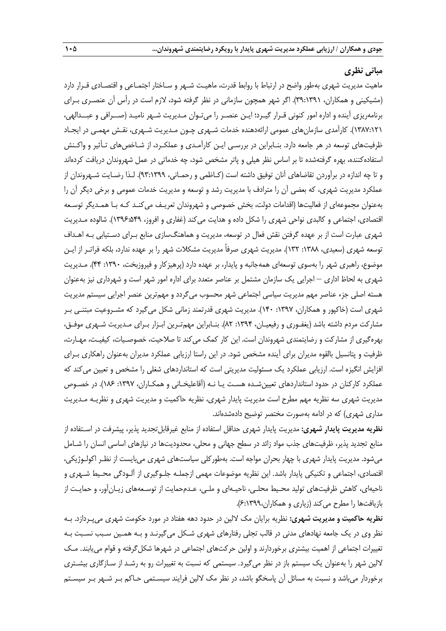#### **مبانی نظری**

ماهیت مدیریت شهری بهطور واضح در ارتباط با روابط قدرت، ماهیـت شـهر و سـاختار اجتمـاعی و اقتصـادی قـرار دارد (مشیکینی و همکاران، ۳۹:۱۳۹۱). اگر شهر همچون سازمانی در نظر گرفته شود، لازم است در رأس آن عنصـری بـرای برنامهریزی آینده و اداره امور کنونی قـرار گیـرد؛ ایـن عنصـر را میتـوان مـدیریت شـهر نامیـد )صــرافی و عبــدالهی، 0317:050(. کارآمدی سازمانهای عمومی ارائهدهنده خدمات شـهری چـون مـدیریت شـهری، نقـش مهمـی در ایجـاد ظرفیتهای توسعه در هر جامعه دارد. بنـابراین در بررسـی ایـن کارآمـدی و عملکـرد، از شـاخصهای تـأثیر و واکـنش استفادهکننده، بهره گرفتهشده تا بر اساس نظر هیلی و پاتر مشخص شود، چه خدماتی در عمل شهروندان دریافت کردهاند و تا چه اندازه در برآوردن تقاضاهای آنان توفیق داشته است (کـاظمی و رحمـانی، ٩٣:١٣٩٩). لـذا رضـایت شـهروندان از عملکرد مدیریت شهری، که بعضی آن را مترادف با مدیریت رشد و توسعه و مدیریت خدمات عمومی و برخی دیگر آن را بهعنوان مجموعهای از فعالیتها (اقدامات دولت، بخش خصوصی و شهروندان تعریـف میکنـد کـه بـا همـدیگر توسـعه اقتصادی، اجتماعی و کالبدی نواحی شهری را شکل داده و هدایت میکند )غفاری و افروز، 0331:213(. شالوده مـدیریت شهری عبارت است از بر عهده گرفتن نقش فعال در توسعه، مدیریت و هماهنگسازی منابع بـرای دسـتیابی بـه اهـداف توسعه شهری (سعیدی، ۱۳۸۸: ۱۳۲). مدیریت شهری صرفاً مدیریت مشکلات شهر را بر عهده ندارد، بلکه فراتـر از ایـن موضوع، راهبری شهر را بهسوی توسعهای همهجانبه و پایدار، بر عهده دارد )پرهیزکار و فیروزبخت، :0331 11(. مـدیریت شهری به لحاظ اداری – اجرایی یک سازمان مشتمل بر عناصر متعدد برای اداره امور شهر است و شهرداری نیز بهعنوان هسته اصلی جزء عناصر مهم مدیریت سیاسی اجتماعی شهر محسوب میگردد و مهمترین عنصر اجرایی سیستم مدیریت شهری است (خاکپور و همکاران، ۱۳۹۷: ۱۴۰). مدیریت شهری قدرتمند زمانی شکل می گیرد که مشـروعیت مبتنـی بـر مشارکت مردم داشته باشد (یغفـوری و رفیعیـان، ١٣٩۴: ٨٢). بنـابراین مهمتـرین ابـزار بـرای مـدیریت شـهری موفـق، بهرهگیری از مشارکت و رضایتمندی شهروندان است. این کار کمک میکند تا صالحیت، خصوصـیات، کیفیـت، مهـارت، ظرفیت و پتانسیل بالقوه مدیران برای آینده مشخص شود. در این راستا ارزیابی عملکرد مدیران بهعنوان راهکاری بـرای افزایش انگیزه است. ارزیابی عملکرد یک مسئولیت مدیریتی است که استانداردهای شغلی را مشخص و تعیین میکند که عملکرد کارکنان در حدود استانداردهای تعیین شـده هسـت یـا نـه (آقاعلیخـانی و همکـاران، ١٣٩٧: ١٨۶). در خصـوص مدیریت شهری سه نظریه مهم مطرح است مدیریت پایدار شهری، نظریه حاکمیت و مدیریت شهری و نظریـه مـدیریت مداری شهری) که در ادامه بهصورت مختصر توضیح دادهشدهاند.

**نظریه مدیریت پایدار شهری:** مدیریت پایدار شهری حداقل استفاده از منابع غیرقابلتجدید پذیر، پیشرفت در اسـتفاده از منابع تجدید پذیر، ظرفیتهای جذب مواد زائد در سطح جهانی و محلی، محدودیتها در نیازهای اساسی انسان را شـامل میشود. مدیریت پایدار شهری با چهار بحران مواجه است. بهطورکلی سیاستهای شهری میبایست از نظـر اکولـوژیکی، اقتصادی، اجتماعی و تکنیکی پایدار باشد. این نظریه موضوعات مهمی ازجملـه جلـوگیری از آلـودگی محـیط شـهری و ناحیهای، کاهش ظرفیتهای تولید محـیط محلـی، ناحیـهای و ملـی، عـدمحمایت از توسـعههای زیـانآور، و حمایـت از بازیافتها را مطرح میکند (زیاری و همکاران،۶:۱۳۹۹).

**نظریه حاکمیت و مدیریت شهری:** نظریه برایان مک اللین در حدود دهه هفتاد در مورد حکومت شهری میپـردازد. بـه نظر وی در یک جامعه نهادهای مدنی در قالب تجلی رفتارهای شهری شـکل میگیرنـد و بـه همـین سـبب نسـبت بـه تغییرات اجتماعی از اهمیت بیشتری برخوردارند و اولین حرکتهای اجتماعی در شهرها شکلگرفته و قوام مییابند. مـک اللین شهر را بهعنوان یک سیستم باز در نظر میگیرد. سیستمی که نسبت به تغییرات رو به رشـد از سـازگاری بیشـتری برخوردار میباشد و نسبت به مسائل آن پاسخگو باشد، در نظر مک اللین فرایند سیسـتمی حـاکم بـر شـهر بـر سیسـتم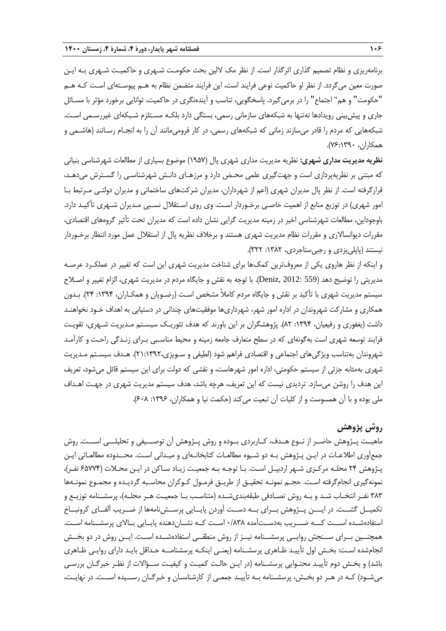برنامهریزی و نظام تصمیم گذاری اثرگذار است. از نظر مک لالین بحث حکومـت شـهری و حاکمیـت شـهری بـه ایـن صورت معین میگردد. از نظر او حاکمیت نوعی فرایند است، این فرایند متضمن نظام به هـم پیوسـتهای اسـت کـه هـم "حکومت" و هم" اجتماع" را در برمیگیرد. پاسخگویی، تناسب و آیندهنگری در حاکمیت، توانایی برخورد مؤثر با مسـائل جاری و پیشبینی رویدادها نهتنها به شبکههای سازمانی رسمی، بستگی دارد بلکـه مسـتلزم شـبکهای غیررسـمی اسـت. شبکههایی که مردم را قادر میسازند زمانی که شبکههای رسمی، در کار فرومیمانند آن را به انجـام رسـانند )هاشـمی و همکاران، 71:0331(.

**نظریه مدیریت مداری شهری:** نظریه مدیریت مداری شهری پال )0327( موضوع بسیاری از مطالعات شهرشناسی بنیانی که مبتنی بر نظریهپردازی است و جهتگیری علمی محـض دارد و مرزهـای دانـش شهرشناسـی را گسـترش میدهـد، قرارگرفته است. از نظر پال مدیران شهری (اعم از شهرداران، مدیران شرکتهای ساختمانی و مدیران دولتـی مـرتبط بـا امور شهری) در توزیع منابع از اهمیت خاصـی برخـوردار اسـت. وی روی اسـتقلال نسـبی مـدیران شـهری تأکیـد دارد. باوجوداین، مطالعات شهرشناسی اخیر در زمینه مدیریت گرایی نشان داده است که مدیران تحت تأثیر گروههای اقتصادی، مقررات دیوانساالری و مقررات نظام مدیریت شهری هستند و برخالف نظریه پال از استقالل عمل مورد انتظار برخـوردار نیستند (پاپلی یزدی و رجبی سناجردی، ۱۳۸۲: ۳۲۲).

و اینکه از نظر هاروی یکی از معروفترین کمکها برای شناخت مدیریت شهری این است که تغییر در عملکـرد عرصـه مدیریتی را توضیح دهد )559 2012: ,Deniz). با توجه به نقش و جایگاه مردم در مدیریت شهری، الزام تغییر و اصـالح سیستم مدیریت شهری با تأکید بر نقش و جایگاه مردم کامالً مشخص اسـت )رضـویان و همکـاران، :0331 51(. بـدون همکاری و مشارکت شهروندان در اداره امور شهر، شهرداریها موفقیتهای چندانی در دستیابی به اهداف خـود نخواهنـد داشت )یغفوری و رفیعیان، :0331 15(. پژوهشگران بر این باورند که هدف تئوریـک سیسـتم مـدیریت شـهری، تقویـت فرایند توسعه شهری است بهگونهای که در سطح متعارف جامعه زمینه و محیط مناسـبی بـرای زنـدگی راحـت و کارآمـد شهروندان بهتناسب ویژگیهای اجتماعی و اقتصادی فراهم شود )لطیفی و سـویزی50:0335،(. هـدف سیسـتم مـدیریت شهری بهمثابه جزئی از سیستم حکومتی، اداره امور شهرهاست، و نقشی که دولت برای این سیستم قائل میشود، تعریف این هدف را روشن میسازد. تردیدی نیست که این تعریف، هرچه باشد، هدف سیستم مدیریت شهری در جهـت اهـداف ملی بوده و با آن همسوست و از کلیات آن تبعیت میکند (حکمت نیا و همکاران، ۱۳۹۶: ۶۰۸).

# **روش پژوهش**

ماهیــت پــژوهش حاضــر از نــوع هــدف، کــاربردی بــوده و روش پــژوهش آن توصـــیفی و تحلیلـــی اســـت. روش جمعآوری اطالعـات در ایـن پـژوهش بـه دو شـیوه مطالعـات کتابخانـهای و میـدانی اسـت. محــدوده مطالعـاتی ایـن پـژوهش 51 محلـه مرکـزی شـهر اردبیـل اسـت. بـا توجـه بـه جمعیـت زیـاد سـاکن در ایـن محـالت )12771 نفـر(، نمونهگیری انجامگرفته اسـت. حجـم نمونـه تحقیـق از طریـق فرمـول کـوکران محاسـبه گردیـده و مجمـوع نمونـهها ۳۸۳ نفـر انتخـاب شـد و بـه روش تصـادفی طبقهبندیشـده (متناسـب بـا جمعیـت هـر محلـه)، پرسشـنامه توزیـع و تکمیــل گشــت. در ایـــن پــژوهش بــرای بــه دســت آوردن پایــایی پرســشنامهها از ضــریب آلفــای کرونبــاخ استفادهشــده اســـت کـــه ضـــریب بهدســتآمده 1/131 اســت کــه نشــاندهنده پایــایی بــاالی پرسشــنامه اســت. همچنــین بــرای ســنجش روایــی پرسشــنامه نیــز از روش منطقــی استفادهشــده اســت. ایــن روش در دو بخــش انجامشده اسـت: بخـش اول تأییـد ظـاهری پرسشـنامه )یعنـی اینکـه پرسشنامــه حـداقل بایـد دارای روایـی ظـاهری باشد) و بخـش دوم تأییـد محتـوایی پرسشـنامه (در ایـن حالـت کمیـت و کیفیـت ســؤالات از نظـر خبرگـان بررسـی میشـود( کـه در هـر دو بخـش، پرسشـنامه بـه تأییـد جمعـی از کارشناسـان و خبرگـان رســیده اســت. در نهایـت،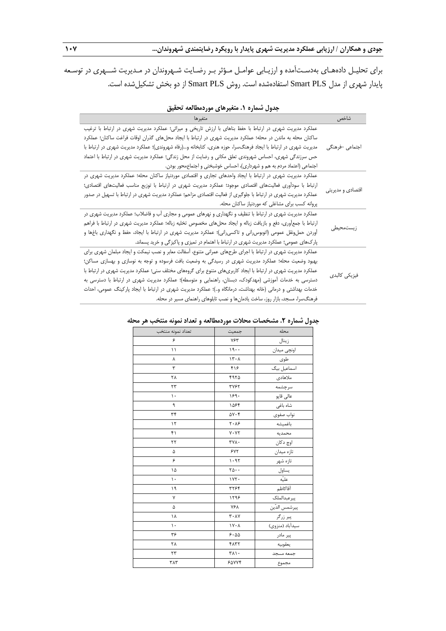برای تحلیـل دادههـای بهدسـتآمده و ارزیـابی عوامـل مـؤثر بـر رضـایت شـهروندان در مـدیریت شــهری در توسـعه پایدار شهری از مدل PLS Smart استفادهشده است. روش PLS Smart از دو بخش تشکیلشده است.

| متغيرها                                                                                                        | شاخص              |  |  |  |
|----------------------------------------------------------------------------------------------------------------|-------------------|--|--|--|
| عملکرد مدیریت شهری در ارتباط با حفظ بناهای با ارزش تاریخی و میراثی؛ عملکرد مدیریت شهری در ارتباط با ترغیب      |                   |  |  |  |
| ساکنان محله به ماندن در محله؛ عملکرد مدیریت شهری در ارتباط با ایجاد محلهای گذران اوقات فراغت ساکنان؛ عملکرد    |                   |  |  |  |
| مدیریت شهری در ارتباط با ایجاد فرهنگسرا، حوزه هنری، کتابخانه و…(رفاه شهروندی)؛ عملکرد مدیریت شهری در ارتباط با | اجتماعي –فرهنگي   |  |  |  |
| حس سرزندگی شهری، احساس شهروندی تعلق مکانی و رضایت از محل زندگی؛ عملکرد مدیریت شهری در ارتباط با اعتماد         |                   |  |  |  |
| اجتماعی (اعتماد مردم به هم و شهرداری)، احساس خوشبختی و اجتماعمحور بودن.                                        |                   |  |  |  |
| عملکرد مدیریت شهری در ارتباط با ایجاد واحدهای تجاری و اقتصادی موردنیاز ساکنان محله؛ عملکرد مدیریت شهری در      |                   |  |  |  |
| ارتباط با سوداًوری فعالیتهای اقتصادی موجود؛ عملکرد مدیریت شهری در ارتباط با توزیع مناسب فعالیتهای اقتصادی؛     |                   |  |  |  |
| عملکرد مدیریت شهری در ارتباط با جلوگیری از فعالیت اقتصادی مزاحم؛ عملکرد مدیریت شهری در ارتباط با تسهیل در صدور | اقتصادي و مديريتي |  |  |  |
| پروانه کسب برای مشاغلی که موردنیاز ساکنان محله.                                                                |                   |  |  |  |
| عملکرد مدیریت شهری در ارتباط با تنظیف و نگهداری و نهرهای عمومی و مجاری آب و فاضلاب؛ عملکرد مدیریت شهری در      |                   |  |  |  |
| ارتباط با جمعأورى، دفع و بازيافت زباله و ايجاد محلهاى مخصوص تخليه زباله؛ عملكرد مديريت شهرى در ارتباط با فراهم |                   |  |  |  |
| أوردن حملونقل عمومی (اتوبوس٫انی و تاکسی٫انی)؛ عملکرد مدیریت شهری در ارتباط با ایجاد، حفظ و نگهداری باغها و     | زيستمحيطى         |  |  |  |
| پارکهای عمومی؛ عملکرد مدیریت شهری در ارتباط با اهتمام در تمیزی و پاکیزگی و خرید پسماند.                        |                   |  |  |  |
| عملکرد مدیریت شهری در ارتباط با اجرای طرحهای عمرانی متنوع، آسفالت معابر و نصب نیمکت و ایجاد مبلمان شهری برای   |                   |  |  |  |
| بهبود وضعیت محله؛ عملکرد مدیریت شهری در رسیدگی به وضعیت بافت فرسوده و توجه به نوسازی و بهسازی مساکن؛           |                   |  |  |  |
| عملکرد مدیریت شهری در ارتباط با ایجاد کاربریهای متنوع برای گروههای مختلف سنی؛ عملکرد مدیریت شهری در ارتباط با  | فيزيكى كالبدى     |  |  |  |
| دسترسی به خدمات آموزشی (مهدکودک، دبستان، راهنمایی و متوسطه)؛ عملکرد مدیریت شهری در ارتباط با دسترسی به         |                   |  |  |  |
| خدمات بهداشتی و درمانی (خانه بهداشت، درمانگاه و)؛ عملکرد مدیریت شهری در ارتباط با ایجاد پارکینگ عمومی، احداث   |                   |  |  |  |
| فرهنگسرا، مسجد، بازار روز، ساخت یادمانها و نصب تابلوهای راهنمای مسیر در محله.                                  |                   |  |  |  |

| جدول شماره ۱. متغیرهای موردمطالعه تحقیق |  |  |
|-----------------------------------------|--|--|
|-----------------------------------------|--|--|

| تعداد نمونه منتخب | جمعيت                                 | محله            |
|-------------------|---------------------------------------|-----------------|
| ۶                 | ۷۶۳                                   | زينال           |
| ۱۱                | 19.                                   | اونچى ميدان     |
| γ                 | 15.1                                  | طوى             |
| ٣                 | ۴۱۶                                   | اسماعیل بیگ     |
| ۲۸                | ۴۹۲۵                                  | ملاهادي         |
| ٢٣                | <b>٣٧۶٢</b>                           |                 |
| $\mathcal{L}$     | ۱۶۹۰                                  | عالى قاپو       |
| ٩                 | ۱۵۶۴                                  | شاه باغی        |
| ٣۴                | ۵۷۰۴                                  | نواب صفوى       |
| ۱٢                | $\mathbf{Y} \cdot \mathbf{A}$ ۶       | باغميشه         |
| ۴۱                | $V \cdot V \Upsilon$                  | محمديه          |
| ٢٢                | ٣٧٨٠                                  | اوچ دکان        |
| ۵                 | ۶۷۲                                   | تازه میدان      |
| ۶                 | 1.91                                  | تازه شهر        |
| ۱۵                | $\mathbf{Y}\mathbf{A}\cdot\mathbf{B}$ | يساول<br>عليّه  |
| ١.                | ۱۷۲.                                  |                 |
| ۱۹                | ٣٢۶۴                                  | أقاكاظم         |
| ٧                 | ۱۲۹۶                                  | پیرعبدالملک     |
| ۵                 | ٧۶٨                                   | پيرشمس الدّين   |
| ١٨                | ۲۰۸٧                                  | پیر زرگر        |
| ١.                | $1Y \cdot \Lambda$                    | سيدأباد (منزوي) |
| ٣۶                | 9.00                                  | پیر مادر        |
| ۲۸                | 4177                                  | يعقوبيه         |
| ۲۳                | ٣٨١٠                                  |                 |
| ٣٨٣               | ۶۵۷۷۴                                 | مجموع           |

#### **جدول شماره .2 مشخصات محالت موردمطالعه و تعداد نمونه منتخب هر محله**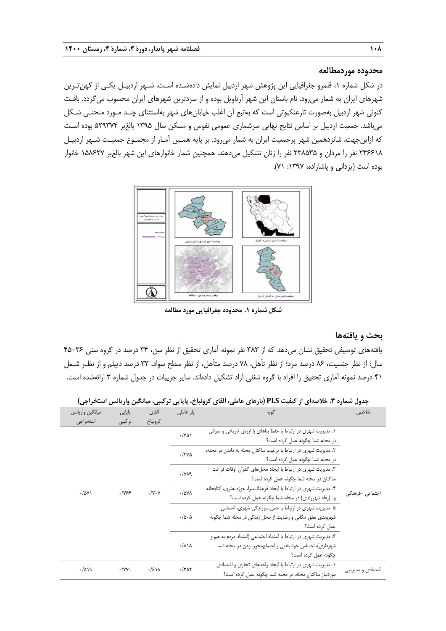#### **محدوده موردمطالعه**

در شکل شماره ،0 قلمرو جغرافیایی این پژوهش شهر اردبیل نمایش دادهشـده اسـت. شـهر اردبیـل یکـی از کهنتـرین شهرهای ایران به شمار میرود. نام باستان این شهر آرتاویل بوده و از سردترین شهرهای ایران محسوب میگردد. بافـت کنونی شهر اردبیل بهصورت تارعنکبوتی است که بهتبع آن اغلب خیابانهای شهر بهاستثنای چنـد مـورد منحنـی شـکل میباشد. جمعیت اردبیل بر اساس نتایج نهایی سرشماری عمومی نفوس و مسکن سال 0332 بالغبر 253371 بوده اسـت که ازاینجهت، شانزدهمین شهر پرجمعیت ایران به شمار میرود. بر پایه همـین آمـار از مجمـوع جمعیـت شـهر اردبیـل 51474 نفر را مردان و ٢٣٨٥٣۵ نفر را زنان تشکیل میدهند. همچنین شمار خانوارهای این شهر بالغبر ١۵٨۶٢٧ خانوار بوده است )یزدانی و پاشازاده، :0337 70(.



**شکل شماره .1 محدوده جغرافیایی مورد مطالعه**

# **بحث و یافتهها**

یافتههای توصیفی تحقیق نشان میدهد که از 313 نفر نمونه آماری تحقیق از نظر سن، 31 درصد در گروه سنی 12-31 سال؛ از نظر جنسیت، 11 درصد مرد؛ از نظر تأهل، 71 درصد متأهل، از نظر سطح سواد، 33 درصد دیپلم و از نظـر شـغل 10 درصد نمونه آماری تحقیق را افراد با گروه شغلی آزاد تشکیل دادهاند. سایر جزییات در جدول شماره 3 ارائهشده است.

| ميانگين واريانس | پایایی                                               | ألفاي                                                                              | بار عاملی                        | گويه                                                                                                                            | شاخص                      |                                                                                                                                                  |                 |  |  |  |  |                                                                                                      |  |                                                                                                   |  |
|-----------------|------------------------------------------------------|------------------------------------------------------------------------------------|----------------------------------|---------------------------------------------------------------------------------------------------------------------------------|---------------------------|--------------------------------------------------------------------------------------------------------------------------------------------------|-----------------|--|--|--|--|------------------------------------------------------------------------------------------------------|--|---------------------------------------------------------------------------------------------------|--|
| استخراجى        | تركيبي                                               | كرونباخ                                                                            |                                  |                                                                                                                                 |                           |                                                                                                                                                  |                 |  |  |  |  |                                                                                                      |  |                                                                                                   |  |
|                 | .1955<br>$\cdot/\gamma \cdot \gamma$<br>$\cdot$ /۵۷۱ | $\cdot$ /٣۵١<br>$-$ /۴۷۵<br>$\cdot$ /YA9<br>$-10YA$<br>$\cdot/\Delta \cdot \Delta$ |                                  |                                                                                                                                 |                           |                                                                                                                                                  |                 |  |  |  |  |                                                                                                      |  | ۱. مدیریت شهری در ارتباط با حفظ بناهای با ارزش تاریخی و میراثی<br>در محله شما چگونه عمل کرده است؟ |  |
|                 |                                                      |                                                                                    |                                  |                                                                                                                                 |                           | ۲. مدیریت شهری در ارتباط با ترغیب ساکنان محله به ماندن در محله،<br>در محله شما چگونه عمل کرده است؟                                               |                 |  |  |  |  |                                                                                                      |  |                                                                                                   |  |
|                 |                                                      |                                                                                    |                                  |                                                                                                                                 |                           |                                                                                                                                                  |                 |  |  |  |  | ۳. مدیریت شهری در ارتباط با ایجاد محلهای گذران اوقات فراغت<br>ساکنان در محله شما چگونه عمل کرده است؟ |  |                                                                                                   |  |
|                 |                                                      |                                                                                    |                                  |                                                                                                                                 |                           | ۴. مدیریت شهری در ارتباط با ایجاد فرهنگسرا، حوزه هنری، کتابخانه<br>و(رفاه شهروندي) در محله شما چگونه عمل كرده است؟                               | اجتماعی –فرهنگی |  |  |  |  |                                                                                                      |  |                                                                                                   |  |
|                 |                                                      |                                                                                    |                                  | ۵–مدیریت شهری در ارتباط با حس سرزندگی شهری، احساس<br>شهروندی تعلق مکانی و رضایت از محل زندگی در محله شما چگونه<br>عمل کردہ است؟ |                           |                                                                                                                                                  |                 |  |  |  |  |                                                                                                      |  |                                                                                                   |  |
|                 |                                                      |                                                                                    | $\cdot/\lambda\backslash\lambda$ |                                                                                                                                 |                           | ۶. مدیریت شهری در ارتباط با اعتماد اجتماعی (اعتماد مردم به هم و<br>شهرداری)، احساس خوشبختی و اجتماع محور بودن در محله شما<br>چگونه عمل کرده است؟ |                 |  |  |  |  |                                                                                                      |  |                                                                                                   |  |
| .7019           | $\cdot$ /YY $\cdot$                                  | $\cdot$ /۶۱۸                                                                       | $\cdot$ /٣۵٢                     | ۰۱. مدیریت شهری در ارتباط با ایجاد واحدهای تجاری و اقتصادی<br>موردنیاز ساکنان محله، در محله شما چگونه عمل کرده است؟             | اقتصاد <i>ی</i> و مدیریتی |                                                                                                                                                  |                 |  |  |  |  |                                                                                                      |  |                                                                                                   |  |

**جدول شماره .3 خالصهای از کیفیت PLS( بارهای عاملی، آلفای کرونباخ، پایایی ترکیبی، میانگین واریانس استخراجی(**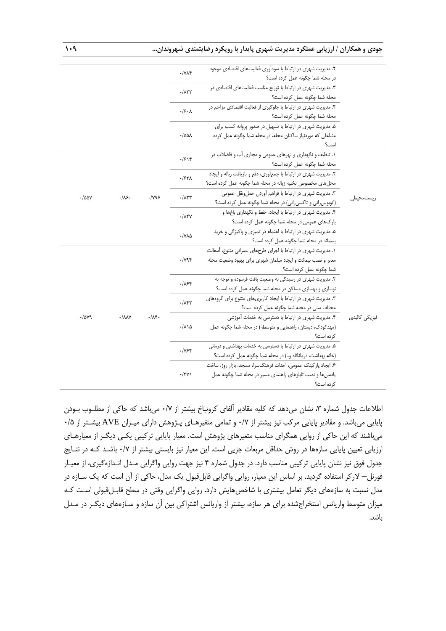|               | ۲. مدیریت شهری در ارتباط با سودآوری فعالیتهای اقتصادی موجود<br>در محله شما چگونه عمل كرده است؟                              | $\cdot$ / $\vee$ $\wedge$ $\star$  |                       |                                    |       |  |  |
|---------------|-----------------------------------------------------------------------------------------------------------------------------|------------------------------------|-----------------------|------------------------------------|-------|--|--|
|               | ۳. مدیریت شهری در ارتباط با توزیع مناسب فعالیتهای اقتصادی در                                                                | .711                               |                       |                                    |       |  |  |
|               | محله شما چگونه عمل کرده است؟                                                                                                |                                    |                       |                                    |       |  |  |
|               | ۴. مدیریت شهری در ارتباط با جلوگیری از فعالیت اقتصادی مزاحم در<br>محله شما چگونه عمل کرده است؟                              | ۰۱۶۰۸                              |                       |                                    |       |  |  |
|               | ۵. مدیریت شهری در ارتباط با تسهیل در صدور پروانه کسب برای                                                                   |                                    |                       |                                    |       |  |  |
|               | مشاغلی که موردنیاز ساکنان محله، در محله شما چگونه عمل کرده                                                                  | ۰/۵۵۸                              |                       |                                    |       |  |  |
|               | است؟                                                                                                                        |                                    |                       |                                    |       |  |  |
|               | ۱. تنظیف و نگهداری و نهرهای عمومی و مجاری آب و فاضلاب در                                                                    | .1514                              |                       |                                    |       |  |  |
|               | محله شما چگونه عمل کرده است؟                                                                                                |                                    |                       |                                    |       |  |  |
|               | ٢. مديريت شهري در ارتباط با جمع آوري، دفع و بازيافت زباله و ايجاد                                                           | ٠/۶۲۸                              |                       |                                    |       |  |  |
|               | محلهای مخصوص تخلیه زباله در محله شما چگونه عمل کرده است؟                                                                    |                                    |                       |                                    |       |  |  |
|               | ۳. مدیریت شهری در ارتباط با فراهم آوردن حملونقل عمومی                                                                       | $-715$                             | $\cdot$ / $\gamma$ ۹۶ | $\cdot$ /۵۵۷<br>.18.               |       |  |  |
| زیستمحیطے ،   | (اتوبوس رانی و تاکسی رانی) در محله شما چگونه عمل کرده است؟                                                                  |                                    |                       |                                    |       |  |  |
|               | ۴. مدیریت شهری در ارتباط با ایجاد، حفظ و نگهداری باغها و                                                                    | $\cdot$ / $\Lambda$ ۴۷             |                       |                                    |       |  |  |
|               | پارکهای عمومی در محله شما چگونه عمل کرده است؟                                                                               |                                    |                       |                                    |       |  |  |
|               | ۵. مدیریت شهری در ارتباط با اهتمام در تمیزی و پاکیزگی و خرید                                                                | $\cdot$ / $\vee$ $\wedge$ $\wedge$ |                       |                                    |       |  |  |
|               | پسماند در محله شما چگونه عمل کرده است؟                                                                                      |                                    |                       |                                    |       |  |  |
|               | ۱. مدیریت شهری در ارتباط با اجرای طرحهای عمرانی متنوع، آسفالت                                                               |                                    |                       |                                    |       |  |  |
|               | معابر و نصب نیمکت و ایجاد مبلمان شهری برای بهبود وضعیت محله                                                                 | $\cdot$ / $\gamma$ ۹۴              |                       |                                    |       |  |  |
|               | شما چگونه عمل کرده است؟                                                                                                     |                                    |                       |                                    |       |  |  |
|               | ۲. مدیریت شهری در رسیدگی به وضعیت بافت فرسوده و توجه به                                                                     | .188                               |                       |                                    |       |  |  |
|               | نوسازی و بهسازی مساکن در محله شما چگونه عمل کرده است؟                                                                       |                                    |                       |                                    |       |  |  |
|               | ۳. مدیریت شهری در ارتباط با ایجاد کاربریهای متنوع برای گروههای                                                              | ۰/۸۴۲                              |                       |                                    |       |  |  |
|               | مختلف سنی در محله شما چگونه عمل کرده است؟                                                                                   |                                    |                       |                                    |       |  |  |
| فیزیکی کالیدی | ۴. مدیریت شهری در ارتباط با دسترسی به خدمات آموزشی                                                                          |                                    | $\cdot/\Lambda$ ۴.    | $\cdot / \lambda \lambda \Upsilon$ | ./av9 |  |  |
|               | (مهدکودک، دبستان، راهنمایی و متوسطه) در محله شما چگونه عمل                                                                  | ۰/۸۱۵                              |                       |                                    |       |  |  |
|               | کردہ است؟                                                                                                                   |                                    |                       |                                    |       |  |  |
|               | ۵. مدیریت شهری در ارتباط با دسترسی به خدمات بهداشتی و درمانی                                                                | .1954                              |                       |                                    |       |  |  |
|               | (خانه بهداشت، درمانگاه و) در محله شما چگونه عمل كرده است؟                                                                   |                                    |                       |                                    |       |  |  |
|               | ۶. ایجاد پارکینگ عمومی، احداث فرهنگسرا، مسجد، بازار روز، ساخت<br>یادمانها و نصب تابلوهای راهنمای مسیر در محله شما چگونه عمل | $\cdot$ /٣٧١                       |                       |                                    |       |  |  |
|               | کردہ است؟                                                                                                                   |                                    |                       |                                    |       |  |  |
|               |                                                                                                                             |                                    |                       |                                    |       |  |  |

اطلاعات جدول شماره ۳، نشان میدهد که کلیه مقادیر آلفای کرونباخ بیشتر از ۰/۷ میباشد که حاکی از مطلـوب بـودن پایایی میباشد. و مقادیر پایایی مرکب نیز بیشتر از 1/7 و تمامی متغیرهـای پـژوهش دارای میـزان AVE بیشـتر از 1/2 میباشند که این حاکی از روایی همگرای مناسب متغیرهای پژوهش است. معیار پایایی ترکیبی یکـی دیگـر از معیارهـای ارزیابی تعیین پایایی سازهها در روش حداقل مربعات جزیی است. این معیار نیز بایستی بیشتر از 1/7 باشـد کـه در نتـایج جدول فوق نیز نشان پایایی ترکیبی مناسب دارد. در جدول شماره 1 نیز جهت روایی واگرایی مـدل انـدازهگیری، از معیـار فورنل– الرکر استفاده گردید. بر اساس این معیار، روایی واگرایی قابلقبول یک مدل، حاکی از آن است که یک سـازه در مدل نسبت به سازههای دیگر تعامل بیشتری با شاخصهایش دارد. روایی واگرایی وقتی در سطح قابـلقبولی اسـت کـه میزان متوسط واریانس استخراجشده برای هر سازه، بیشتر از واریانس اشتراکی بین آن سازه و سـازههای دیگـر در مـدل باشد.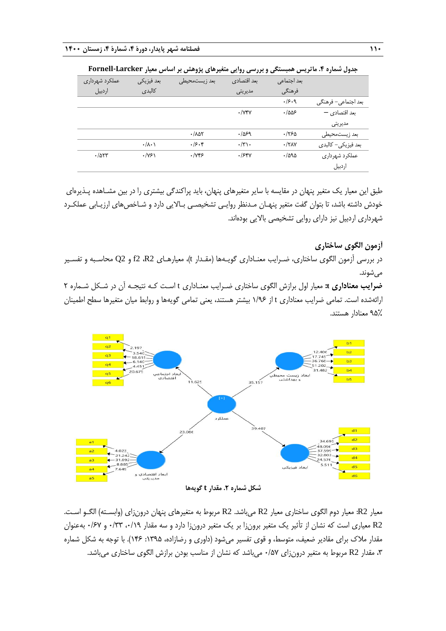|                | . .                  |                       |               |              |                     |
|----------------|----------------------|-----------------------|---------------|--------------|---------------------|
| عملكرد شهرداري | بعد فيزيكي           | بعد زیستمحیطی         | بعد اقتصادي   | بعد اجتماعي  |                     |
| اردييل         | كالبدى               |                       | َ مديريتي     | فرهنگي       |                     |
|                |                      |                       |               | .49.9        | بعد اجتماعي– فرهنگي |
|                |                      |                       | $\cdot$ /Y۴Y  | .1005        | بعد اقتصادی -       |
|                |                      |                       |               |              | مديريتي             |
|                |                      | $-.100$               | .1059         | .1750        | بعد زيستمحيطى       |
|                | $\cdot/\lambda\cdot$ | .79.8                 | $\cdot/\tau\$ | $\cdot$ /٢٨Υ | بعد فيزيكي- كالبدى  |
| .705           | $\cdot$ /Y۶)         | $\cdot$ / $\gamma$ ۴۶ | .158V         | .7090        | عملكرد شهرداري      |
|                |                      |                       |               |              | اردييل              |

**جدول شماره .4 ماتریس همبستگی و بررسی روایی متغیرهای پژوهش بر اساس معیار Larcker-Fornell**

طبق این معیار یک متغیر پنهان در مقایسه با سایر متغیرهای پنهان، باید پراکندگی بیشتری را در بین مشـاهده پـذیرهای خودش داشته باشد، تا بتوان گفت متغیر پنهـان مـدنظر روایـی تشخیصـی بـاالیی دارد و شـاخصهای ارزیـابی عملکـرد شهرداری اردبیل نیز دارای روایی تشخیصی باالیی بودهاند.

**آزمون الگوی ساختاری**

در بررسی آزمون الگوی ساختاری، ضـرایب معنـاداری گویـهها )مقـدار t)، معیارهـای 2R، 2f و 2Q محاسـبه و تفسـیر می شوند.

**ضرایب معناداری t:** معیار اول برازش الگوی ساختاری ضـرایب معنـاداری t اسـت کـه نتیجـه آن در شـکل شـماره 5 ارائهشده است. تمامی ضرایب معناداری t از ۱/۹۶ بیشتر هستند، یعنی تمامی گویهها و روابط میان متغیرها سطح اطمینان 32% معنادار هستند.



**شکل شماره .2 مقدار t گویهها**

معیار 2R: معیار دوم الگوی ساختاری معیار 2R میباشد. 2R مربوط به متغیرهای پنهان درونزای )وابسـته( الگـو اسـت. 2R معیاری است که نشان از تأثیر یک متغیر برونزا بر یک متغیر درونزا دارد و سه مقدار ،1/03 1/33 و 1/17 بهعنوان مقدار ملاک برای مقادیر ضعیف، متوسط، و قوی تفسیر میشود (داوری و رضازاده، ۱۳۹۵: ۱۴۶). با توجه به شکل شماره ،3 مقدار 2R مربوط به متغیر درونزای 1/27 میباشد که نشان از مناسب بودن برازش الگوی ساختاری میباشد.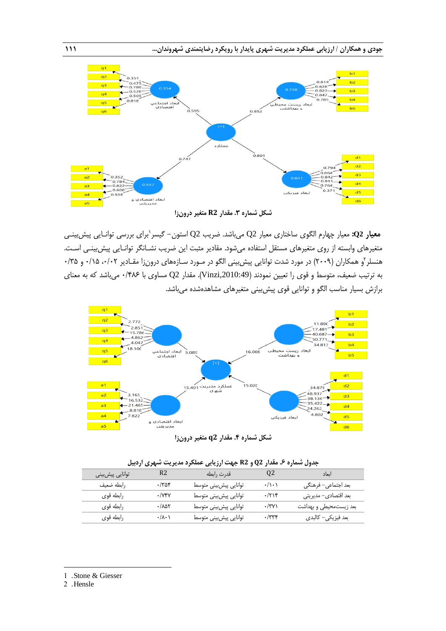

**شکل شماره .3 مقدار 2R متغیر درونزا**

برای بررسی توانـایی پیشبینـی <sup>0</sup> **معیار 2Q:** معیار چهارم الگوی ساختاری معیار 2Q میباشد. ضریب 2Q استون- گیسر متغیرهای وابسته از روی متغیرهای مستقل استفاده میشود. مقادیر مثبت این ضریب نشـانگر توانـایی پیشبینـی اسـت. هنسلر ٔو همکاران (۲۰۰۹) در مورد شدت توانایی پیش بینی الگو در مـورد سـازههای درونiرا مقـادیر ۰/۱۲۵ ، ۱/۵۰ و ۲/۵ به ترتیب ضعیف، متوسط و قوی را تعیین نمودند (Vinzi,2010:49). مقدار Q2 مساوی با ۱/۴۸۶ میباشد که به معنای برازش بسیار مناسب الگو و توانایی قوی پیشبینی متغیرهای مشاهدهشده میباشد.



**شکل شماره .4 مقدار 2q متغیر درونزا**

|                 |                      | جدوں سمارہ ۷۔ معدار ۲۷ و ۲۰ جہت ارزیابی عملحرد مدیریت سہری اردبیں |                               |                        |
|-----------------|----------------------|-------------------------------------------------------------------|-------------------------------|------------------------|
| توانايي پيشبيني | R2                   | قدرت رابطه                                                        | Q2                            | اىعاد                  |
| رابطه ضعيف      | ۲۵۴.                 | توانايي پيشبيني متوسط                                             | $\cdot/\rangle \cdot \rangle$ | بعد اجتماعي– فرهنگي    |
| رابطه قوى       | $\cdot$ /Y۴Y         | توانايي پيشبيني متوسط                                             | ۰/۲۱۴                         | بعد اقتصادي- مديريتي   |
| رابطه قوی       | ۰/۸۵۲                | توانايي پيشبيني متوسط                                             | $\cdot$ /۳۷)                  | بعد زیستمحیطی و بهداشت |
| رابطه قوى       | $\cdot/\lambda\cdot$ | توانايي پيشبيني متوسط                                             | ۰/۳۳۴                         | بعد فيزيكي– كالبدى     |

|  |  |  |  |  | جدول شماره ۶. مقدار Q2 و R2 جهت ارزیابی عملکرد مدیریت شهری اردبیل |  |  |  |  |
|--|--|--|--|--|-------------------------------------------------------------------|--|--|--|--|
|--|--|--|--|--|-------------------------------------------------------------------|--|--|--|--|

2 .Hensle

1

<sup>1</sup> . Stone & Giesser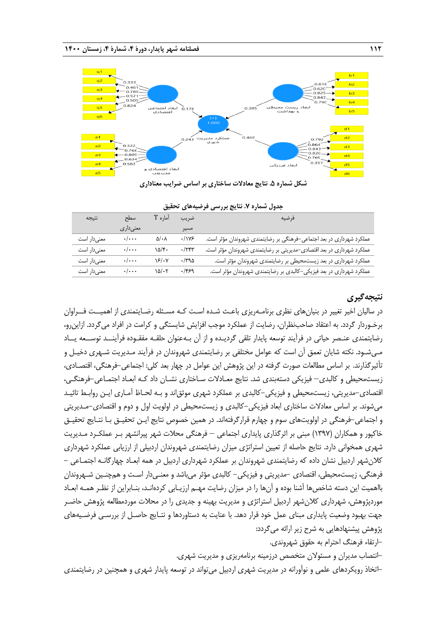

**شکل شماره .5 نتایج معادالت ساختاری بر اساس ضرایب معناداری**

| جدوں سمارہ ۰. سایج بررسی ترتیبیات کا تحقیق |                    |                        |              |                                                                       |  |  |
|--------------------------------------------|--------------------|------------------------|--------------|-----------------------------------------------------------------------|--|--|
| نتيجه                                      | سطح                | آماره T                | ضريب         | فرضيه                                                                 |  |  |
|                                            | معنىدارى           |                        | مسير         |                                                                       |  |  |
| معنىدار است                                | $\cdot/\cdot\cdot$ | $\Delta/\cdot \Lambda$ | .1195        | عملکرد شهرداری در بعد اجتماعی-فرهنگی بر رضایتمندی شهروندان مؤثر است.  |  |  |
| معنى دار است                               | $\cdot/\cdot\cdot$ | $10/\mathfrak{f}$ .    | $\cdot$ /۲۴۳ | عملکرد شهرداری در بعد اقتصادی-مدیریتی بر رضایتمندی شهروندان مؤثر است. |  |  |
| معنىدار است                                | $\cdot/\cdot\cdot$ | ۱۶/۰۷                  | $\cdot$ /٣٩۵ | عملکرد شهرداری در بعد زیستمحیطی بر رضایتمندی شهروندان مؤثر است.       |  |  |
| معنىدار است                                | $\cdot/\cdot\cdot$ | ۱۵/۰۲                  | .1959        | عملکرد شهرداری در بعد فیزیکی-کالبدی بر رضایتمندی شهروندان مؤثر است.   |  |  |

## **جدول شماره .7 نتایج بررسی فرضیههای تحقیق**

# **نتیجهگیری**

در سالیان اخیر تغییر در بنیانهای نظری برنامـهریزی باعـ شـده اسـت کـه مسـئله رضـایتمندی از اهمیــت فــراوان برخـوردار گردد. به اعتقاد صاحبنظران، رضایت از عملکرد موجب افزایش شایستگی و کرامت در افراد میگردد. ازاینرو، رضایتمندی عنـصر حیاتی در فرآیند توسعه پایدار تلقی گردیـده و از آن بـهعنوان حلقـه مفقـوده فرآینــد توســعه یــاد مـیشـود. نکته شایان تعمق آن است که عوامل مختلفی بر رضایتمندی شهروندان در فرآیند مـدیریت شـهری دخیـل و تأثیرگذارند. بر اساس مطالعات صورت گرفته در این پژوهش این عوامل در چهار بعد کلی: اجتماعی-فرهنگی، اقتصـادی، زیستمحیطی و کالبدی– فیزیکی دستهبندی شد. نتایج معـادالت سـاختاری نشـان داد کـه ابعـاد اجتمـاعی-فرهنگـی، اقتصادی-مدیریتی، زیستمحیطی و فیزیکی-کالبدی بر عملکرد شهری موثقاند و بـه لحـاظ آمـاری ایـن روابـ تائیـد میشوند. بر اساس معادالت ساختاری ابعاد فیزیکی-کالبدی و زیستمحیطی در اولویت اول و دوم و اقتصادی-مـدیریتی و اجتماعی-فرهنگی در اولویتهای سوم و چهارم قرارگرفتهاند. در همین خصوص نتایج ایـن تحقیـق بـا نتـایج تحقیـق خاکپور و همکاران )0337( مبنی بر اثرگذاری پایداری اجتماعی – فرهنگی محالت شهر پیرانشهر بـر عملکـرد مـدیریت شهری همخوانی دارد. نتایج حاصله از تعیین استراتژی میزان رضایتمندی شهروندان اردبیلی از ارزیابی عملکرد شهرداری کالنشهر اردبیل نشان داده که رضایتمندی شهروندان بر عملکرد شهرداری اردبیل در همه ابعـاد چهارگانـه اجتمـاعی - فرهنگی، زیستمحیطی، اقتصادی -مدیریتی و فیزیکی- کالبدی مؤثر میباشد و معنـیدار اسـت و همچنـین شـهروندان بااهمیت این دسته شاخصها آشنا بوده و آنها را در میزان رضایت مهـم ارزیـابی کردهانـد، بنـابراین از نظـر همـه ابعـاد موردپژوهش، شهرداری کالنشهر اردبیل استراتژی و مدیریت بهینه و جدیدی را در محالت موردمطالعه پژوهش حاضـر جهت بهبود وضعیت پایداری مبنای عمل خود قرار دهد. با عنایت به دستاوردها و نتـایج حاصـل از بررسـی فرضـیههای پژوهش پیشنهادهایی به شرح زیر ارائه میگردد:

-ارتقاء فرهنگ احترام به حقوق شهروندی.

-انتصاب مدیران و مسئوالن متخصص درزمینه برنامهریزی و مدیریت شهری.

-اتخاذ رویکردهای علمی و نوآورانه در مدیریت شهری اردبیل میتواند در توسعه پایدار شهری و هم نین در رضایتمندی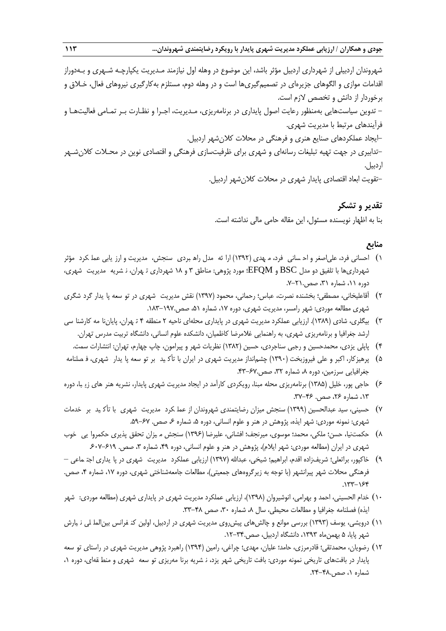شهروندان اردبیلی از شهرداری اردبیل مؤثر باشد، این موضوع در وهله اول نیازمند مـدیریت یکپارچـه شـهری و بـهدوراز اقدامات موازی و الگوهای جزیرهای در تصمیمگیریها است و در وهله دوم، مستلزم بهکارگیری نیروهای فعال، خـالق و برخوردار از دانش و تخصص الزم است. - تدوین سیاستهایی بهمنظور رعایت اصول پایداری در برنامهریزی، مـدیریت، اجـرا و نظـارت بـر تمـامی فعالیتهـا و فرآیندهای مرتبط با مدیریت شهری. -تدابیری در جهت تهیه تبلیغات رسانهای <sup>و</sup> شهری برای ظرفیتسازی فرهنگی و اقتصادی نوین در محـالت کالنشـهر-ایجاد عملکردهای صنایع هنری و فرهنگی در محالت کالنشهر اردبیل. اردبیل. تقویت ابعاد اقتصادی پایدار شهری در محالت کالنشهر اردبیل.

> **تقدیر و تشکر**-بنا به اظهار نویسنده مسئول، این مقاله حامی مالی نداشته است.

# **منابع**

- ( ) احسانی فرد، علی|صغر و اح سانی فرد، م هدی (١٣٩٢) ارا ئه مدل راه بردی سنجش، مدیریت و ارز یابی عمل کرد مؤثر شهرداریها با تلفیق دو مدل BSC و EFQM؛ مورد پژوهی: مناطق ۳ و ۱۸ شهرداری تـهران، نـ شریه مدیریت شهری، دوره ۱۱، شماره ۳۱، صص.۲۱-۷.
- 5( آقاعلیخانی، مصطفی؛ بخشنده نصرت، عباس؛ رحمانی، محمود )0337( نقش مدیریت ششـهری در ستوسـعه یپایـدار گرد شگریگردشـگری شهری مطالعه موردی: شهر رامسر، مدیریت شهری، دوره ،07 شماره ،20 صص.013-037.
- 3( بیگلری، شادی )0313(. ارزیابی عملکرد مدیریت شهری در پایداری محلهای ناحیه 5 منطقه 1 هتهـران، پایان منامـه کارشنا سی کارشناسـی ارشد جغرافیا و برنامهریزی شهری، به راهنمایی غالمرضا کاظمیان، دانشکده علوم انسانی، دانشگاه تربیت مدرس تهران.
	- 1( پاپلی یزدی، محمدحسین و رجبی سناجردی، حسین )0315( نظریات شهر و پیرامون، چاپ چهارم، تهران: انتشارات سمت.
- ۵) پرهیزکار، اکبر و علی فیروزبخت (۱۳۹۰) چشم|نداز مدیریت شهری در ایران با تأکید بر تو سعه پا یدار شهری، فـصلنامه جغرافیایی سرزمین، دوره ۸، شماره ۳۲، صص.۶۷-۴۳.
- 1( حاجی پور، خلیل )0312( برنامهریزی محله مبنا، رویکردی کارآمد در ایجاد مدیریت شهری پایدار، نشریه ههنرهـای زی ببـا، دوره ۰۱۳، شماره ۲۶، صص. ۴۶–۳۷.
- Y) حسینی، سید عبدالحسین (۱۳۹۹) سنجش میزان رضایتمندی شهروندان از عمل کرد مدیریت شهری با تأکـید بر خدمات شهری: نمونه موردی: شهر ایذه، پژوهش در هنر و علوم انسانی، دوره ۵، شماره ۶۰ صص. ۶۷-۵۹.
- 1( حکمتنیا، حسن؛ ملکی، محمد؛ موسوی، میرنجف؛ افشانی، علیرضا )0331( سنجش م یزان ( میـزان تحقق پپـذیری حکمروا یی خوب حکمروایـی خـوب شهری در ایران (مطالعه موردی: شهر ایلام)، پژوهش در هنر و علوم انسانی، دوره ۴۹، شماره ۳، صص. ۶۱۹–۶۰۷.
- ۹) خاکپور، براتعلی؛ شریفزاده اقدم، ابراهیم؛ شیخی، عبدالله (۱۳۹۷) ارزیابی عملکرد مدیریت شهری در پا یداری اجتـ ماعی فرهنگی محلات شهر پیرانشهر (با توجه به زیرگروههای جمعیتی)، مطالعات جامعهشناختی شهری، دوره ۱۷، شماره ۴، صص.  $.177 - 159$
- 01( خدام الحسینی، احمد و بهرامی، انوشیروان )0331(، ارزیابی عملکرد مدیریت شهری در پایداری شهری )مطالعه موردی: ششـهر ایذه) فصلنامه جغرافیا و مطالعات محیطی، سال ۸، شماره ۳۰، صص ۴۸-۳۳.
- ١١) درویشی، یوسف (١٣٩٣) بررسی موانع و چالشهای پیشروی مدیریت شهری در اردبیل، اولین کن فرانس بین|لملـلی نـیارش شهر پایا، 2 بهمنماه ،0333 دانشگاه اردبیل، صص.05-31.
- ١٢) رضویان، محمدتقی؛ قادرمرزی، حامد؛ علیان، مهدی؛ چراغی، رامین (١٣٩۴) راهبرد پژوهی مدیریت شهری در راستای تو سعه پایدار در بافتهای تاریخی نمونه موردی: بافت تاریخی شهر یزد، ن شریه برنا مهریزی تو سعه شهری و منط قهای، دوره ۰، شماره ۱، صص.۴۸-۲۴.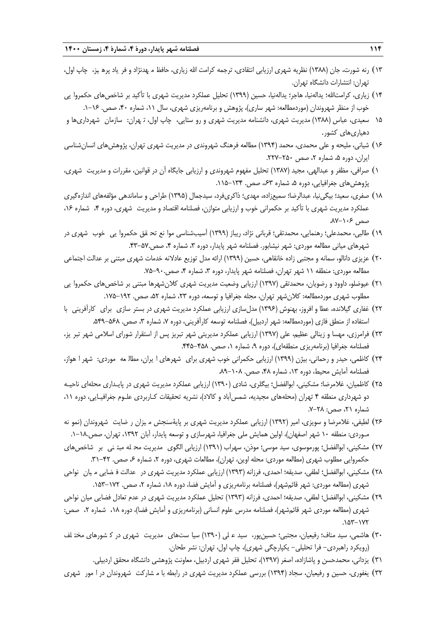- ١٣) رنه شورت، جان (١٣٨٨) نظریه شهری ارزیابی انتقادی، ترجمه کرامت الله زیاری، حافظ م هدنژاد و فر یاد پره یز، چاپ اول، تهران: انتشارات دانشگاه تهران.
- ١۴) زیاری، کرامتالله؛ یدالهنیا، هاجر؛ یدالهنیا، حسین (١٣٩٩) تحلیل عملکرد مدیریت شهری با تأکید بر شاخصهای حکمروا یی خوب از منظر شهروندان (موردمطالعه: شهر ساری)، پژوهش و برنامهریزی شهری، سال ۱۱، شماره ۴۰، صص. ۱۶–۱.
- ۱۵ سعیدی، عباس (۱۳۸۸) مدیریت شهری، دانشنامه مدیریت شهری و رو ستایی، چاپ اول، تـهران: سازمان شهرداریها و دهیاریهای کشور.
- 01( شیانی، ملیحه و علی محمدی، محمد )0331( مطالعه فرهنگ شهروندی در مدیریت شهری تهران، پژوهشهای انسانشناسی ایران، دوره ۵، شماره ۲، صص ۲۵۰-۲۲۷.
- 0( صرافی، مظفر و عبدالهی، مجید )0317( تحلیل مفهوم شهروندی و ارزیابی جایگاه آن در قوانین، مقررات و مدیریت شهری، ررات شـهری، پژوهشهای جغرافیایی، دوره ۵، شماره ۶۳، صص. ۱۳۴–۱۱۵.
- 01( صفری، سعید؛ بیگینیا، عبدالرضا؛ سمیعزاده، مهدی؛ ذاکریفرد، سیدجمال )0332( طراحی و ساماندهی مؤلفههای اندازهگیری عملکرد مدیریت شهری با تأکید بر حکمرانی خوب و ارزیابی متوازن، فصلنامه اقتصاد و مدیریت شهری، دوره ۴، شماره ۱۶، صص ۱۰۶-۸۷.
- ١٩) طالبی، محمدعلی؛ رهنمایی، محمدتقی؛ قربانی نژاد، ریباز (١٣٩٩) آسیبشناسی موا نع تحـ قق حکمروا یی \_خوب \_شهری در شهرهای میانی مطالعه موردی: شهر نیشابور. فصلنامه شهر پایدار، دوره ۳، شماره ۴، صص.۵۷-۴۳.
- 51( عزیزی دانالو، سمانه و مجتبی زاده خانقاهی، حسین )0333( ارائه مدل توزیع عادالنه خدمات شهری مبتنی بر عدالت اجتماعی مطالعه موردی: منطقه ١١ شهر تهران، فصلنامه شهر پایدار، دوره ٣، شماره ۴، صص.٩٠-٧۵.
- 50( عیوضلو، داوود و رضویان، محمدتقی )0337( ارزیابی وضعیت مدیریت شهری کالنشهرها مبتنی بر شاخصهای حکمروا یی حکمروایـی مطلوب شهری موردمطالعه: کلانشهر تهران، مجله جغرافیا و توسعه، دوره ۲۳، شماره ۵۲، صص. ۱۹۲–۱۷۵.
- 55( غفاری گیالنده، عطا و افروز، بهنوش )0331( مدلسازی ارزیابی عملکرد مدیریت شهری در بستر سازی برای کارآفرینی با سـازی بـرای کـارآفرینی بـا استفاده از منطق فازی (موردمطالعه: شهر اردبیل)، فصلنامه توسعه کارآفرینی، دوره ۷، شماره ۳، صص. ۵۶۸–۵۴۹.
- 53( فرامرزی، مهسا و زینالی عظیم، علی )0337( ارزیابی عملکرد مدیریتی شهر تبریز پس از استقرار شورای اسالمی شهر تبر یز، تبریـز، فصلنامه جغرافیا (برنامهریزی منطقهای)، دوره ۹، شماره ۱، صص. ۴۵۸–۴۴۵.
- ٢٢) کاظمی، حیدر و رحمانی، بیژن (١٣٩٩) ارزیابی حکمرانی خوب شهری برای شهرهای ا یران، مطال عه موردی: شهر ا هواز، فصلنامه آمایش محیط، دوره ۱۳، شماره ۴۸، صص. ۱۰۸–۸۹.
- 52( کاظمیان، غالمرضا؛ مشکینی، ابوالفضل؛ بیگلری، شادی )0331( ارزیابی عملکرد مدیریت شهری در پایـداری محلهای ناحیـه دو شهرداری منطقه ۴ تهران (محلههای مجیدیه، شمسآباد و کالاد)، نشریه تحقیقات کـاربردی علـوم جغرافیـایی، دوره ۱۱، شماره ،50 صص: .7-51
- ۲۶) لطیفی، غلامرضا و سویزی، امیر (۱۳۹۲) ارزیابی عملکرد مدیریت شهری بر پایۀسنجش م یزان ر ضایت شهروندان (نمو نه مـوردی: منطقه ۱۰ شهر اصفهان)، اولین همایش ملی جغرافیا، شهرسازی و توسعه پایدار، آبان ۱۳۹۲، تهران، صص.۱۸–۱.
- ٢٧) مشکینی، ابوالفضل؛ پورموسوی، سید موسی؛ موذن، سهراب (١٣٩١) ارزیابی الگوی مدیریت مح له مبت نی بر شاخصهای حکمروایی مطلوب شهری (مطالعه موردی: محله اوین، تهران)، مطالعات شهری، دوره ۲، شماره ۶، صص. ۴۲–۳۱.
- ٢٨) مشکینی، ابوالفضل؛ لطفی، صدیقه؛ احمدی، فرزانه (١٣٩٣) ارزیابی عملکرد مدیریت شهری در عدالت ف ضایی میان ِ نواحی شهری (مطالعه موردی: شهر قائمشهر)، فصلنامه برنامهریزی و آمایش فضا، دوره ۱۸، شماره ۲، صص. ۱۷۲–۱۵۳.
- ٢٩) مشکینی، ابوالفضل؛ لطفی، صدیقه؛ احمدی، فرزانه (١٣٩٣) تحلیل عملکرد مدیریت شهری در عدم تعادل فضایی میان نواحی شهری (مطالعه موردی شهر قائمشهر)، فصلنامه مدرس علوم انسانی (برنامهریزی و آمایش فضا)، دوره ۱۸، شماره ۲، صص:  $.087 - 177$
- ٣٠) هاشمی، سید مناف؛ رفیعیان، مجتبی؛ حسینپور، سید عـلی (١٣٩٠) سیا ستـهای مدیریت شهری در کـ شورهای مختـلف )رویکرد راهبردی- فرا تحلیلی- یکپارچگی شهری(، چاپ اول، تهران: نشر طحان.
	- 30( یزدانی، محمدحسن و پاشازاده، اصغر )0337(، تحلیل فقر شهری اردبیل، معاونت پژوهشی دانشگاه محقق اردبیلی.
- ٣٢) یغفوری، حسین و رفیعیان، سجاد (١٣٩۴) بررسی عملکرد مدیریت شهری در رابطه با م شارکت شهروندان در ا مور شهری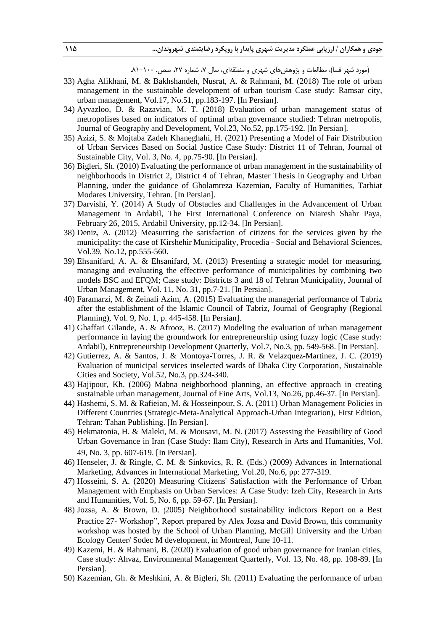(مورد شهر فسا)، مطالعات و پژوهش های شهری و منطقهای، سال ۷، شماره ۲۷، صص. ۱۰۰-۸۱.

- 33) Agha Alikhani, M. & Bakhshandeh, Nusrat, A. & Rahmani, M. (2018) The role of urban management in the sustainable development of urban tourism Case study: Ramsar city, urban management, Vol.17, No.51, pp.183-197. [In Persian].
- 34) Ayvazloo, D. & Razavian, M. T. (2018) Evaluation of urban management status of metropolises based on indicators of optimal urban governance studied: Tehran metropolis, Journal of Geography and Development, Vol.23, No.52, pp.175-192. [In Persian].
- 35) Azizi, S. & Mojtaba Zadeh Khaneghahi, H. (2021) Presenting a Model of Fair Distribution of Urban Services Based on Social Justice Case Study: District 11 of Tehran, Journal of Sustainable City, Vol. 3, No. 4, pp.75-90. [In Persian].
- 36) Bigleri, Sh. (2010) Evaluating the performance of urban management in the sustainability of neighborhoods in District 2, District 4 of Tehran, Master Thesis in Geography and Urban Planning, under the guidance of Gholamreza Kazemian, Faculty of Humanities, Tarbiat Modares University, Tehran. [In Persian].
- 37) Darvishi, Y. (2014) A Study of Obstacles and Challenges in the Advancement of Urban Management in Ardabil, The First International Conference on Niaresh Shahr Paya, February 26, 2015, Ardabil University, pp.12-34. [In Persian].
- 38) Deniz, A. (2012) Measurring the satisfaction of citizens for the services given by the municipality: the case of Kirshehir Municipality, Procedia - Social and Behavioral Sciences, Vol.39, No.12, pp.555-560.
- 39) Ehsanifard, A. A. & Ehsanifard, M. (2013) Presenting a strategic model for measuring, managing and evaluating the effective performance of municipalities by combining two models BSC and EFQM; Case study: Districts 3 and 18 of Tehran Municipality, Journal of Urban Management, Vol. 11, No. 31, pp.7-21. [In Persian].
- 40) Faramarzi, M. & Zeinali Azim, A. (2015) Evaluating the managerial performance of Tabriz after the establishment of the Islamic Council of Tabriz, Journal of Geography (Regional Planning), Vol. 9, No. 1, p. 445-458. [In Persian].
- 41) Ghaffari Gilande, A. & Afrooz, B. (2017) Modeling the evaluation of urban management performance in laying the groundwork for entrepreneurship using fuzzy logic (Case study: Ardabil), Entrepreneurship Development Quarterly, Vol.7, No.3, pp. 549-568. [In Persian].
- 42) Gutierrez, A. & Santos, J. & Montoya-Torres, J. R. & Velazquez-Martinez, J. C. (2019) Evaluation of municipal services inselected wards of Dhaka City Corporation, Sustainable Cities and Society, Vol.52, No.3, pp.324-340.
- 43) Hajipour, Kh. (2006) Mabna neighborhood planning, an effective approach in creating sustainable urban management, Journal of Fine Arts, Vol.13, No.26, pp.46-37. [In Persian].
- 44) Hashemi, S. M. & Rafieian, M. & Hosseinpour, S. A. (2011) Urban Management Policies in Different Countries (Strategic-Meta-Analytical Approach-Urban Integration), First Edition, Tehran: Tahan Publishing. [In Persian].
- 45) Hekmatonia, H. & Maleki, M. & Mousavi, M. N. (2017) Assessing the Feasibility of Good Urban Governance in Iran (Case Study: Ilam City), Research in Arts and Humanities, Vol. 49, No. 3, pp. 607-619. [In Persian].
- 46) Henseler, J. & Ringle, C. M. & Sinkovics, R. R. (Eds.) (2009) Advances in International Marketing, Advances in International Marketing, Vol.20, No.6, pp: 277-319.
- 47) Hosseini, S. A. (2020) Measuring Citizens' Satisfaction with the Performance of Urban Management with Emphasis on Urban Services: A Case Study: Izeh City, Research in Arts and Humanities, Vol. 5, No. 6, pp. 59-67. [In Persian].
- 48) Jozsa, A. & Brown, D. (2005) Neighborhood sustainability indictors Report on a Best Practice 27- Workshop", Report prepared by Alex Jozsa and David Brown, this community workshop was hosted by the School of Urban Planning, McGill University and the Urban Ecology Center/ Sodec M development, in Montreal, June 10-11.
- 49) Kazemi, H. & Rahmani, B. (2020) Evaluation of good urban governance for Iranian cities, Case study: Ahvaz, Environmental Management Quarterly, Vol. 13, No. 48, pp. 108-89. [In Persian].
- 50) Kazemian, Gh. & Meshkini, A. & Bigleri, Sh. (2011) Evaluating the performance of urban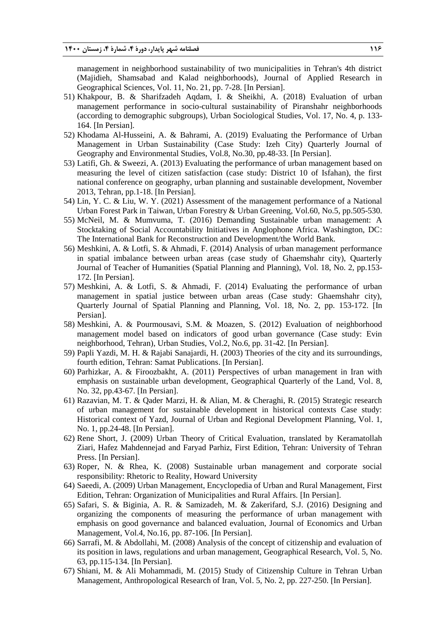management in neighborhood sustainability of two municipalities in Tehran's 4th district (Majidieh, Shamsabad and Kalad neighborhoods), Journal of Applied Research in Geographical Sciences, Vol. 11, No. 21, pp. 7-28. [In Persian].

- 51) Khakpour, B. & Sharifzadeh Aqdam, I. & Sheikhi, A. (2018) Evaluation of urban management performance in socio-cultural sustainability of Piranshahr neighborhoods (according to demographic subgroups), Urban Sociological Studies, Vol. 17, No. 4, p. 133- 164. [In Persian].
- 52) Khodama Al-Husseini, A. & Bahrami, A. (2019) Evaluating the Performance of Urban Management in Urban Sustainability (Case Study: Izeh City) Quarterly Journal of Geography and Environmental Studies, Vol.8, No.30, pp.48-33. [In Persian].
- 53) Latifi, Gh. & Sweezi, A. (2013) Evaluating the performance of urban management based on measuring the level of citizen satisfaction (case study: District 10 of Isfahan), the first national conference on geography, urban planning and sustainable development, November 2013, Tehran, pp.1-18. [In Persian].
- 54) Lin, Y. C. & Liu, W. Y. (2021) Assessment of the management performance of a National Urban Forest Park in Taiwan, Urban Forestry & Urban Greening, Vol.60, No.5, pp.505-530.
- 55) McNeil, M. & Mumvuma, T. (2016) Demanding Sustainable urban management: A Stocktaking of Social Accountability Initiatives in Anglophone Africa. Washington, DC: The International Bank for Reconstruction and Development/the World Bank.
- 56) Meshkini, A. & Lotfi, S. & Ahmadi, F. (2014) Analysis of urban management performance in spatial imbalance between urban areas (case study of Ghaemshahr city), Quarterly Journal of Teacher of Humanities (Spatial Planning and Planning), Vol. 18, No. 2, pp.153- 172. [In Persian].
- 57) Meshkini, A. & Lotfi, S. & Ahmadi, F. (2014) Evaluating the performance of urban management in spatial justice between urban areas (Case study: Ghaemshahr city), Quarterly Journal of Spatial Planning and Planning, Vol. 18, No. 2, pp. 153-172. [In Persian].
- 58) Meshkini, A. & Pourmousavi, S.M. & Moazen, S. (2012) Evaluation of neighborhood management model based on indicators of good urban governance (Case study: Evin neighborhood, Tehran), Urban Studies, Vol.2, No.6, pp. 31-42. [In Persian].
- 59) Papli Yazdi, M. H. & Rajabi Sanajardi, H. (2003) Theories of the city and its surroundings, fourth edition, Tehran: Samat Publications. [In Persian].
- 60) Parhizkar, A. & Firoozbakht, A. (2011) Perspectives of urban management in Iran with emphasis on sustainable urban development, Geographical Quarterly of the Land, Vol. 8, No. 32, pp.43-67. [In Persian].
- 61) Razavian, M. T. & Qader Marzi, H. & Alian, M. & Cheraghi, R. (2015) Strategic research of urban management for sustainable development in historical contexts Case study: Historical context of Yazd, Journal of Urban and Regional Development Planning, Vol. 1, No. 1, pp.24-48. [In Persian].
- 62) Rene Short, J. (2009) Urban Theory of Critical Evaluation, translated by Keramatollah Ziari, Hafez Mahdennejad and Faryad Parhiz, First Edition, Tehran: University of Tehran Press. [In Persian].
- 63) Roper, N. & Rhea, K. (2008) Sustainable urban management and corporate social responsibility: Rhetoric to Reality, Howard University
- 64) Saeedi, A. (2009) Urban Management, Encyclopedia of Urban and Rural Management, First Edition, Tehran: Organization of Municipalities and Rural Affairs. [In Persian].
- 65) Safari, S. & Biginia, A. R. & Samizadeh, M. & Zakerifard, S.J. (2016) Designing and organizing the components of measuring the performance of urban management with emphasis on good governance and balanced evaluation, Journal of Economics and Urban Management, Vol.4, No.16, pp. 87-106. [In Persian].
- 66) Sarrafi, M. & Abdollahi, M. (2008) Analysis of the concept of citizenship and evaluation of its position in laws, regulations and urban management, Geographical Research, Vol. 5, No. 63, pp.115-134. [In Persian].
- 67) Shiani, M. & Ali Mohammadi, M. (2015) Study of Citizenship Culture in Tehran Urban Management, Anthropological Research of Iran, Vol. 5, No. 2, pp. 227-250. [In Persian].